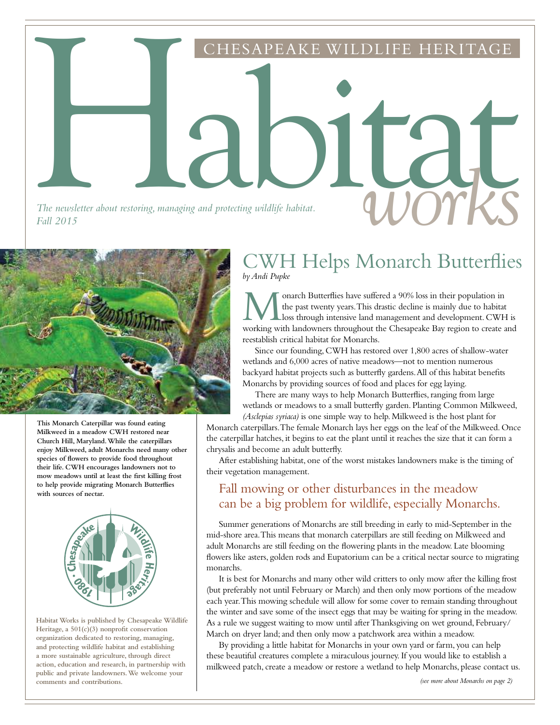*The newsletter about restoring, managing and protecting wildlife habitat.*<br>Fall 2015 *Fall 2015*

Habitat



**This Monarch Caterpillar was found eating Milkweed in a meadow CWH restored near Church Hill, Maryland. While the caterpillars enjoy Milkweed, adult Monarchs need many other species of flowers to provide food throughout their life. CWH encourages landowners not to mow meadows until at least the first killing frost to help provide migrating Monarch Butterflies with sources of nectar.**



**Habitat Works is published by Chesapeake Wildlife Heritage, a 501(c)(3) nonprofit conservation organization dedicated to restoring, managing, and protecting wildlife habitat and establishing a more sustainable agriculture, through direct action, education and research, in partnership with public and private landowners. We welcome your comments and contributions.**

### CWH Helps Monarch Butterflies *by Andi Pupke*

HESAPEAKE WILDLIFE HERITA

**M** onarch Butterflies have suffered a 90% loss in their population in the past twenty years. This drastic decline is mainly due to habitat loss through intensive land management and development. CWH is working with landow onarch Butterflies have suffered a 90% loss in their population in the past twenty years. This drastic decline is mainly due to habitat loss through intensive land management and development. CWH is reestablish critical habitat for Monarchs.

Since our founding, CWH has restored over 1,800 acres of shallow-water wetlands and 6,000 acres of native meadows—not to mention numerous backyard habitat projects such as butterfly gardens. All of this habitat benefits Monarchs by providing sources of food and places for egg laying.

There are many ways to help Monarch Butterflies, ranging from large wetlands or meadows to a small butterfly garden. Planting Common Milkweed, *(Asclepias syriaca)* is one simple way to help. Milkweed is the host plant for

Monarch caterpillars. The female Monarch lays her eggs on the leaf of the Milkweed. Once the caterpillar hatches, it begins to eat the plant until it reaches the size that it can form a chrysalis and become an adult butterfly.

After establishing habitat, one of the worst mistakes landowners make is the timing of their vegetation management.

#### Fall mowing or other disturbances in the meadow can be a big problem for wildlife, especially Monarchs.

Summer generations of Monarchs are still breeding in early to mid-September in the mid-shore area. This means that monarch caterpillars are still feeding on Milkweed and adult Monarchs are still feeding on the flowering plants in the meadow. Late blooming flowers like asters, golden rods and Eupatorium can be a critical nectar source to migrating monarchs.

It is best for Monarchs and many other wild critters to only mow after the killing frost (but preferably not until February or March) and then only mow portions of the meadow each year. This mowing schedule will allow for some cover to remain standing throughout the winter and save some of the insect eggs that may be waiting for spring in the meadow. As a rule we suggest waiting to mow until after Thanksgiving on wet ground, February/ March on dryer land; and then only mow a patchwork area within a meadow.

By providing a little habitat for Monarchs in your own yard or farm, you can help these beautiful creatures complete a miraculous journey. If you would like to establish a milkweed patch, create a meadow or restore a wetland to help Monarchs, please contact us.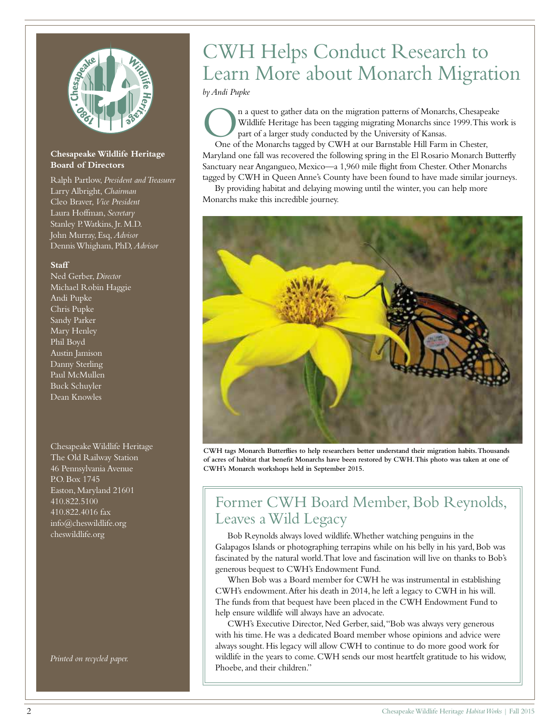

#### **Chesapeake Wildlife Heritage Board of Directors**

Ralph Partlow, *President and Treasurer* Larry Albright, *Chairman* Cleo Braver, *Vice President* Laura Hoffman, *Secretary* Stanley P. Watkins, Jr. M.D. John Murray, Esq, *Advisor* Dennis Whigham, PhD, *Advisor*

#### **Staff**

Ned Gerber, *Director* Michael Robin Haggie Andi Pupke Chris Pupke Sandy Parker Mary Henley Phil Boyd Austin Jamison Danny Sterling Paul McMullen Buck Schuyler Dean Knowles

Chesapeake Wildlife Heritage The Old Railway Station 46 Pennsylvania Avenue P.O. Box 1745 Easton, Maryland 21601 410.822.5100 410.822.4016 fax info@cheswildlife.org cheswildlife.org

*Printed on recycled paper.*

# CWH Helps Conduct Research to Learn More about Monarch Migration

*by Andi Pupke*

One of the Monarchs tagged by CWH at our Barnstable Hill Farm in Chester, One of the Monarchs tagged by CWH at our Barnstable Hill Farm in Chester, n a quest to gather data on the migration patterns of Monarchs, Chesapeake Wildlife Heritage has been tagging migrating Monarchs since 1999. This work is part of a larger study conducted by the University of Kansas.

Maryland one fall was recovered the following spring in the El Rosario Monarch Butterfly Sanctuary near Angangueo, Mexico—a 1,960 mile flight from Chester. Other Monarchs tagged by CWH in Queen Anne's County have been found to have made similar journeys.

By providing habitat and delaying mowing until the winter, you can help more Monarchs make this incredible journey.



**CWH tags Monarch Butterflies to help researchers better understand their migration habits. Thousands of acres of habitat that benefit Monarchs have been restored by CWH. This photo was taken at one of CWH's Monarch workshops held in September 2015.** 

## Former CWH Board Member, Bob Reynolds, Leaves a Wild Legacy

Bob Reynolds always loved wildlife. Whether watching penguins in the Galapagos Islands or photographing terrapins while on his belly in his yard, Bob was fascinated by the natural world. That love and fascination will live on thanks to Bob's generous bequest to CWH's Endowment Fund.

When Bob was a Board member for CWH he was instrumental in establishing CWH's endowment. After his death in 2014, he left a legacy to CWH in his will. The funds from that bequest have been placed in the CWH Endowment Fund to help ensure wildlife will always have an advocate.

CWH's Executive Director, Ned Gerber, said, "Bob was always very generous with his time. He was a dedicated Board member whose opinions and advice were always sought. His legacy will allow CWH to continue to do more good work for wildlife in the years to come. CWH sends our most heartfelt gratitude to his widow, Phoebe, and their children."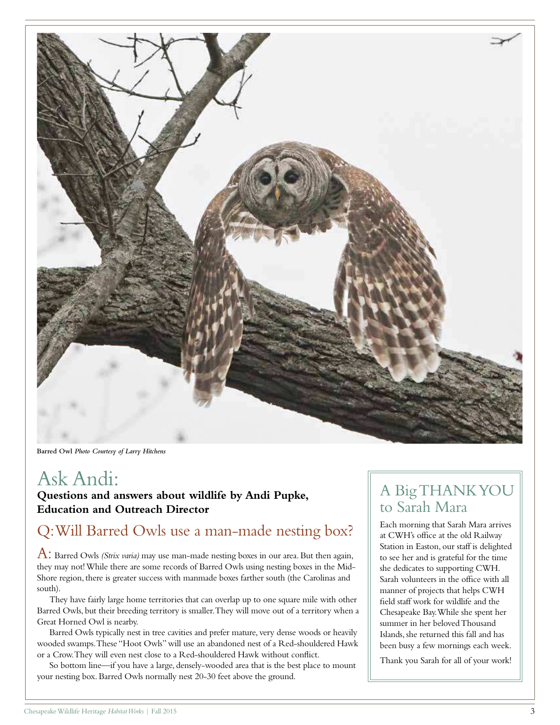

**Barred Owl** *Photo Courtesy of Larry Hitchens*

## Ask Andi:

**Questions and answers about wildlife by Andi Pupke, Education and Outreach Director**

## Q: Will Barred Owls use a man-made nesting box?

A: Barred Owls *(Strix varia)* may use man-made nesting boxes in our area. But then again, they may not! While there are some records of Barred Owls using nesting boxes in the Mid-Shore region, there is greater success with manmade boxes farther south (the Carolinas and south).

They have fairly large home territories that can overlap up to one square mile with other Barred Owls, but their breeding territory is smaller. They will move out of a territory when a Great Horned Owl is nearby.

Barred Owls typically nest in tree cavities and prefer mature, very dense woods or heavily wooded swamps. These "Hoot Owls" will use an abandoned nest of a Red-shouldered Hawk or a Crow. They will even nest close to a Red-shouldered Hawk without conflict.

So bottom line—if you have a large, densely-wooded area that is the best place to mount your nesting box. Barred Owls normally nest 20-30 feet above the ground.

## A Big THANK YOU to Sarah Mara

Each morning that Sarah Mara arrives at CWH's office at the old Railway Station in Easton, our staff is delighted to see her and is grateful for the time she dedicates to supporting CWH. Sarah volunteers in the office with all manner of projects that helps CWH field staff work for wildlife and the Chesapeake Bay. While she spent her summer in her beloved Thousand Islands, she returned this fall and has been busy a few mornings each week.

Thank you Sarah for all of your work!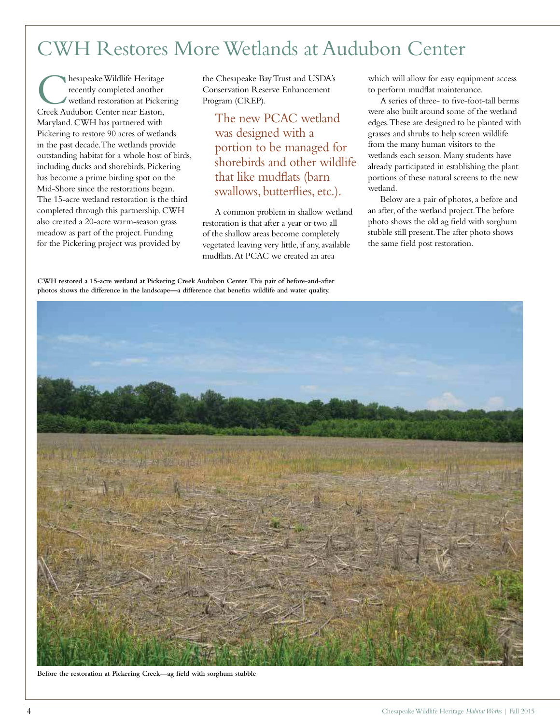# CWH Restores More Wetlands at Audubon Center

**C** hesapeake Wildlife Heritage<br>recently completed another<br>Creek Audubon Center near Easton, hesapeake Wildlife Heritage recently completed another wetland restoration at Pickering Maryland. CWH has partnered with Pickering to restore 90 acres of wetlands in the past decade. The wetlands provide outstanding habitat for a whole host of birds, including ducks and shorebirds. Pickering has become a prime birding spot on the Mid-Shore since the restorations began. The 15-acre wetland restoration is the third completed through this partnership. CWH also created a 20-acre warm-season grass meadow as part of the project. Funding for the Pickering project was provided by

the Chesapeake Bay Trust and USDA's Conservation Reserve Enhancement Program (CREP).

The new PCAC wetland was designed with a portion to be managed for shorebirds and other wildlife that like mudflats (barn swallows, butterflies, etc.).

A common problem in shallow wetland restoration is that after a year or two all of the shallow areas become completely vegetated leaving very little, if any, available mudflats. At PCAC we created an area

which will allow for easy equipment access to perform mudflat maintenance.

A series of three- to five-foot-tall berms were also built around some of the wetland edges. These are designed to be planted with grasses and shrubs to help screen wildlife from the many human visitors to the wetlands each season. Many students have already participated in establishing the plant portions of these natural screens to the new wetland.

Below are a pair of photos, a before and an after, of the wetland project. The before photo shows the old ag field with sorghum stubble still present. The after photo shows the same field post restoration.

**CWH restored a 15-acre wetland at Pickering Creek Audubon Center. This pair of before-and-after photos shows the difference in the landscape—a difference that benefits wildlife and water quality.**



**Before the restoration at Pickering Creek—ag field with sorghum stubble**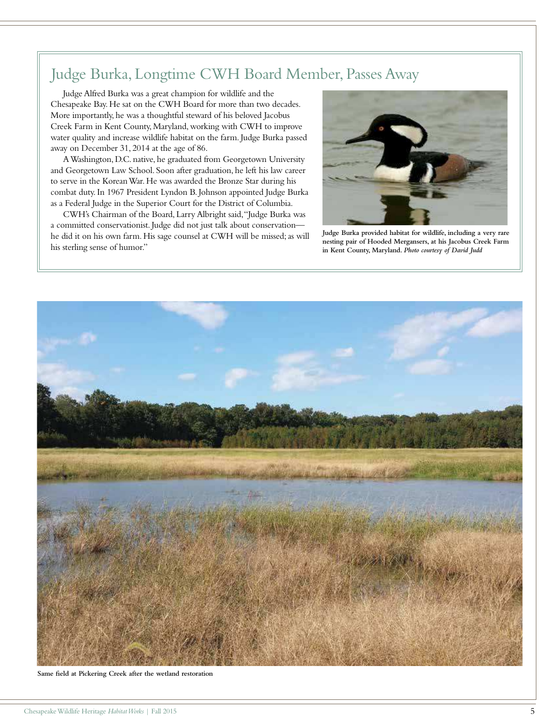## Judge Burka, Longtime CWH Board Member, Passes Away

Judge Alfred Burka was a great champion for wildlife and the Chesapeake Bay. He sat on the CWH Board for more than two decades. More importantly, he was a thoughtful steward of his beloved Jacobus Creek Farm in Kent County, Maryland, working with CWH to improve water quality and increase wildlife habitat on the farm. Judge Burka passed away on December 31, 2014 at the age of 86.

A Washington, D.C. native, he graduated from Georgetown University and Georgetown Law School. Soon after graduation, he left his law career to serve in the Korean War. He was awarded the Bronze Star during his combat duty. In 1967 President Lyndon B. Johnson appointed Judge Burka as a Federal Judge in the Superior Court for the District of Columbia.

CWH's Chairman of the Board, Larry Albright said, "Judge Burka was a committed conservationist. Judge did not just talk about conservation he did it on his own farm. His sage counsel at CWH will be missed; as will his sterling sense of humor."



**Judge Burka provided habitat for wildlife, including a very rare nesting pair of Hooded Mergansers, at his Jacobus Creek Farm in Kent County, Maryland.** *Photo courtesy of David Judd*



**Same field at Pickering Creek after the wetland restoration**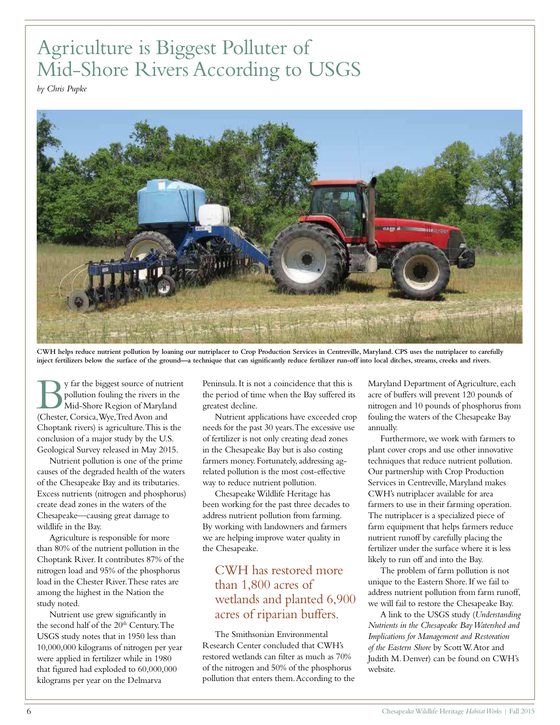# Agriculture is Biggest Polluter of Mid-Shore Rivers According to USGS

*by Chris Pupke*



**CWH helps reduce nutrient pollution by loaning our nutriplacer to Crop Production Services in Centreville, Maryland. CPS uses the nutriplacer to carefully inject fertilizers below the surface of the ground—a technique that can significantly reduce fertilizer run-off into local ditches, streams, creeks and rivers.**

Superior of nutries of the biggest source of nutries in the pollution fouling the rivers in the Middle Shore Region of Marylar (Chester, Corsica, Wye, Tred Avon and y far the biggest source of nutrient pollution fouling the rivers in the Mid-Shore Region of Maryland Choptank rivers) is agriculture. This is the conclusion of a major study by the U.S. Geological Survey released in May 2015.

Nutrient pollution is one of the prime causes of the degraded health of the waters of the Chesapeake Bay and its tributaries. Excess nutrients (nitrogen and phosphorus) create dead zones in the waters of the Chesapeake—causing great damage to wildlife in the Bay.

Agriculture is responsible for more than 80% of the nutrient pollution in the Choptank River. It contributes 87% of the nitrogen load and 95% of the phosphorus load in the Chester River. These rates are among the highest in the Nation the study noted.

Nutrient use grew significantly in the second half of the 20<sup>th</sup> Century. The USGS study notes that in 1950 less than 10,000,000 kilograms of nitrogen per year were applied in fertilizer while in 1980 that figured had exploded to 60,000,000 kilograms per year on the Delmarva

Peninsula. It is not a coincidence that this is the period of time when the Bay suffered its greatest decline.

Nutrient applications have exceeded crop needs for the past 30 years. The excessive use of fertilizer is not only creating dead zones in the Chesapeake Bay but is also costing farmers money. Fortunately, addressing agrelated pollution is the most cost-effective way to reduce nutrient pollution.

Chesapeake Wildlife Heritage has been working for the past three decades to address nutrient pollution from farming. By working with landowners and farmers we are helping improve water quality in the Chesapeake.

#### CWH has restored more than 1,800 acres of wetlands and planted 6,900 acres of riparian buffers.

The Smithsonian Environmental Research Center concluded that CWH's restored wetlands can filter as much as 70% of the nitrogen and 50% of the phosphorus pollution that enters them. According to the Maryland Department of Agriculture, each acre of buffers will prevent 120 pounds of nitrogen and 10 pounds of phosphorus from fouling the waters of the Chesapeake Bay annually.

Furthermore, we work with farmers to plant cover crops and use other innovative techniques that reduce nutrient pollution. Our partnership with Crop Production Services in Centreville, Maryland makes CWH's nutriplacer available for area farmers to use in their farming operation. The nutriplacer is a specialized piece of farm equipment that helps farmers reduce nutrient runoff by carefully placing the fertilizer under the surface where it is less likely to run off and into the Bay.

The problem of farm pollution is not unique to the Eastern Shore. If we fail to address nutrient pollution from farm runoff, we will fail to restore the Chesapeake Bay.

A link to the USGS study (*Understanding Nutrients in the Chesapeake Bay Watershed and Implications for Management and Restoration of the Eastern Shore* by Scott W. Ator and Judith M. Denver) can be found on CWH's website.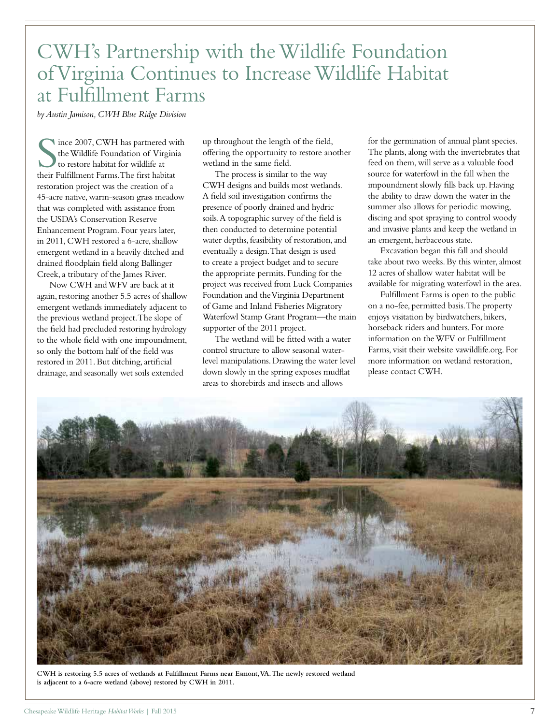# CWH's Partnership with the Wildlife Foundation of Virginia Continues to Increase Wildlife Habitat at Fulfillment Farms

*by Austin Jamison, CWH Blue Ridge Division*

 $\begin{tabular}{l} Since 2007, CWH has partnered wi  
the Wildlife Foundation of Virginia  
to restore habitat for wildlife at  
their Fulliment Farms. The first habitat$ ince 2007, CWH has partnered with the Wildlife Foundation of Virginia to restore habitat for wildlife at restoration project was the creation of a 45-acre native, warm-season grass meadow that was completed with assistance from the USDA's Conservation Reserve Enhancement Program. Four years later, in 2011, CWH restored a 6-acre, shallow emergent wetland in a heavily ditched and drained floodplain field along Ballinger Creek, a tributary of the James River.

Now CWH and WFV are back at it again, restoring another 5.5 acres of shallow emergent wetlands immediately adjacent to the previous wetland project. The slope of the field had precluded restoring hydrology to the whole field with one impoundment, so only the bottom half of the field was restored in 2011. But ditching, artificial drainage, and seasonally wet soils extended

up throughout the length of the field, offering the opportunity to restore another wetland in the same field.

The process is similar to the way CWH designs and builds most wetlands. A field soil investigation confirms the presence of poorly drained and hydric soils. A topographic survey of the field is then conducted to determine potential water depths, feasibility of restoration, and eventually a design. That design is used to create a project budget and to secure the appropriate permits. Funding for the project was received from Luck Companies Foundation and the Virginia Department of Game and Inland Fisheries Migratory Waterfowl Stamp Grant Program—the main supporter of the 2011 project.

The wetland will be fitted with a water control structure to allow seasonal waterlevel manipulations. Drawing the water level down slowly in the spring exposes mudflat areas to shorebirds and insects and allows

for the germination of annual plant species. The plants, along with the invertebrates that feed on them, will serve as a valuable food source for waterfowl in the fall when the impoundment slowly fills back up. Having the ability to draw down the water in the summer also allows for periodic mowing, discing and spot spraying to control woody and invasive plants and keep the wetland in an emergent, herbaceous state.

Excavation began this fall and should take about two weeks. By this winter, almost 12 acres of shallow water habitat will be available for migrating waterfowl in the area.

Fulfillment Farms is open to the public on a no-fee, permitted basis. The property enjoys visitation by birdwatchers, hikers, horseback riders and hunters. For more information on the WFV or Fulfillment Farms, visit their website vawildlife.org. For more information on wetland restoration, please contact CWH.



**CWH is restoring 5.5 acres of wetlands at Fulfillment Farms near Esmont, VA. The newly restored wetland is adjacent to a 6-acre wetland (above) restored by CWH in 2011.**